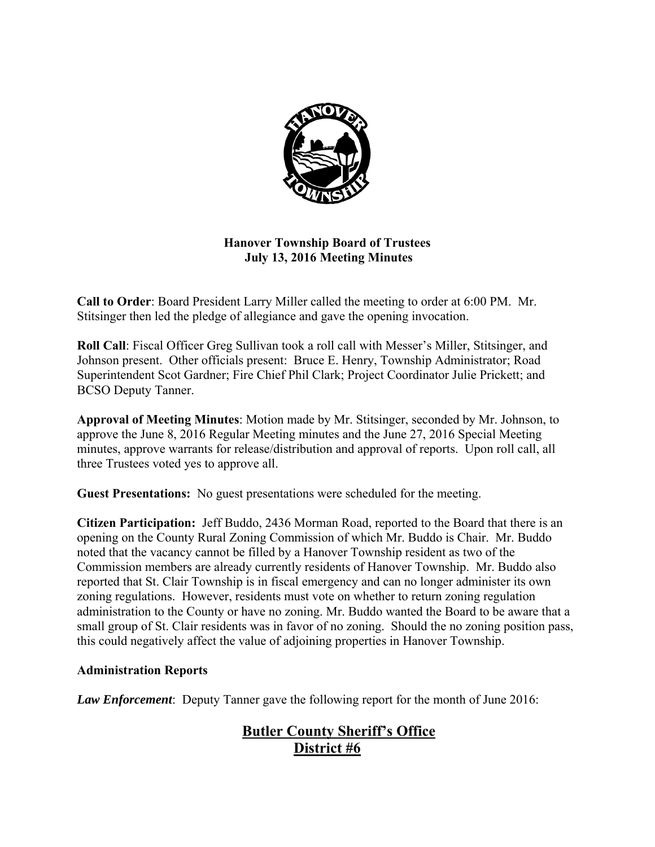

# **Hanover Township Board of Trustees July 13, 2016 Meeting Minutes**

**Call to Order**: Board President Larry Miller called the meeting to order at 6:00 PM. Mr. Stitsinger then led the pledge of allegiance and gave the opening invocation.

**Roll Call**: Fiscal Officer Greg Sullivan took a roll call with Messer's Miller, Stitsinger, and Johnson present. Other officials present: Bruce E. Henry, Township Administrator; Road Superintendent Scot Gardner; Fire Chief Phil Clark; Project Coordinator Julie Prickett; and BCSO Deputy Tanner.

**Approval of Meeting Minutes**: Motion made by Mr. Stitsinger, seconded by Mr. Johnson, to approve the June 8, 2016 Regular Meeting minutes and the June 27, 2016 Special Meeting minutes, approve warrants for release/distribution and approval of reports. Upon roll call, all three Trustees voted yes to approve all.

**Guest Presentations:** No guest presentations were scheduled for the meeting.

**Citizen Participation:** Jeff Buddo, 2436 Morman Road, reported to the Board that there is an opening on the County Rural Zoning Commission of which Mr. Buddo is Chair. Mr. Buddo noted that the vacancy cannot be filled by a Hanover Township resident as two of the Commission members are already currently residents of Hanover Township. Mr. Buddo also reported that St. Clair Township is in fiscal emergency and can no longer administer its own zoning regulations. However, residents must vote on whether to return zoning regulation administration to the County or have no zoning. Mr. Buddo wanted the Board to be aware that a small group of St. Clair residents was in favor of no zoning. Should the no zoning position pass, this could negatively affect the value of adjoining properties in Hanover Township.

# **Administration Reports**

*Law Enforcement*: Deputy Tanner gave the following report for the month of June 2016:

# **Butler County Sheriff's Office District #6**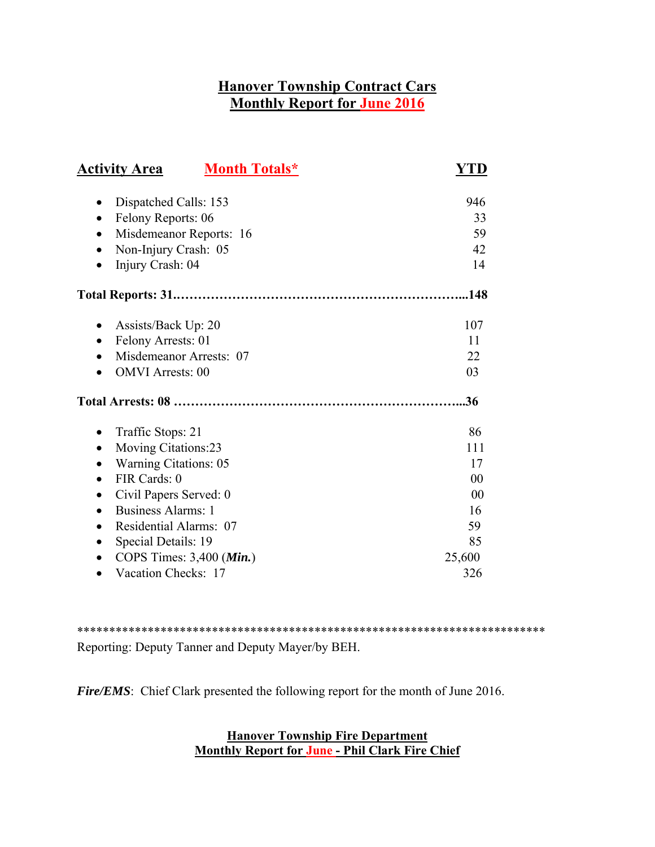# **Hanover Township Contract Cars Monthly Report for June 2016**

| <b>Month Totals*</b><br><b>Activity Area</b>                                                                                                                                                                                                | YTD                                           |
|---------------------------------------------------------------------------------------------------------------------------------------------------------------------------------------------------------------------------------------------|-----------------------------------------------|
| Dispatched Calls: 153<br>$\bullet$<br>Felony Reports: 06<br>Misdemeanor Reports: 16<br>Non-Injury Crash: 05<br>Injury Crash: 04                                                                                                             | 946<br>33<br>59<br>42<br>14                   |
|                                                                                                                                                                                                                                             | .148                                          |
| Assists/Back Up: 20<br>٠<br>Felony Arrests: 01<br>Misdemeanor Arrests: 07<br><b>OMVI</b> Arrests: 00                                                                                                                                        | 107<br>11<br>22<br>03                         |
|                                                                                                                                                                                                                                             | 36                                            |
| Traffic Stops: 21<br><b>Moving Citations:23</b><br><b>Warning Citations: 05</b><br>FIR Cards: 0<br>$\bullet$<br>Civil Papers Served: 0<br>٠<br><b>Business Alarms: 1</b><br>Residential Alarms: 07<br>$\bullet$<br>Special Details: 19<br>٠ | 86<br>111<br>17<br>00<br>00<br>16<br>59<br>85 |
| COPS Times: $3,400$ ( <i>Min.</i> )<br>Vacation Checks: 17<br>$\bullet$                                                                                                                                                                     | 25,600<br>326                                 |

\*\*\*\*\*\*\*\*\*\*\*\*\*\*\*\*\*\*\*\*\*\*\*\*\*\*\*\*\*\*\*\*\*\*\*\*\*\*\*\*\*\*\*\*\*\*\*\*\*\*\*\*\*\*\*\*\*\*\*\*\*\*\*\*\*\*\*\*\*\*\*\*\* Reporting: Deputy Tanner and Deputy Mayer/by BEH.

*Fire/EMS*: Chief Clark presented the following report for the month of June 2016.

# **Hanover Township Fire Department Monthly Report for June - Phil Clark Fire Chief**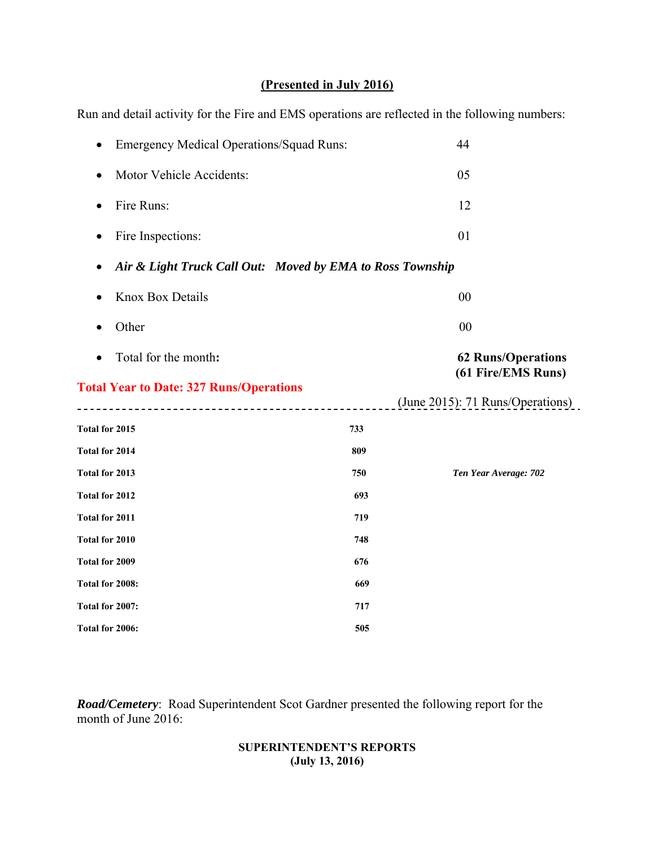# **(Presented in July 2016)**

Run and detail activity for the Fire and EMS operations are reflected in the following numbers:

| 44                                                        |
|-----------------------------------------------------------|
| 05                                                        |
| 12                                                        |
| 01                                                        |
| Air & Light Truck Call Out: Moved by EMA to Ross Township |
| 00                                                        |
| 00                                                        |
| <b>62 Runs/Operations</b><br>(61 Fire/EMS Runs)           |
|                                                           |
| (June 2015): 71 Runs/Operations)                          |
|                                                           |
|                                                           |
| Ten Year Average: 702                                     |
|                                                           |
|                                                           |
|                                                           |
|                                                           |
|                                                           |
|                                                           |
|                                                           |

*Road/Cemetery*: Road Superintendent Scot Gardner presented the following report for the month of June 2016:

#### **SUPERINTENDENT'S REPORTS (July 13, 2016)**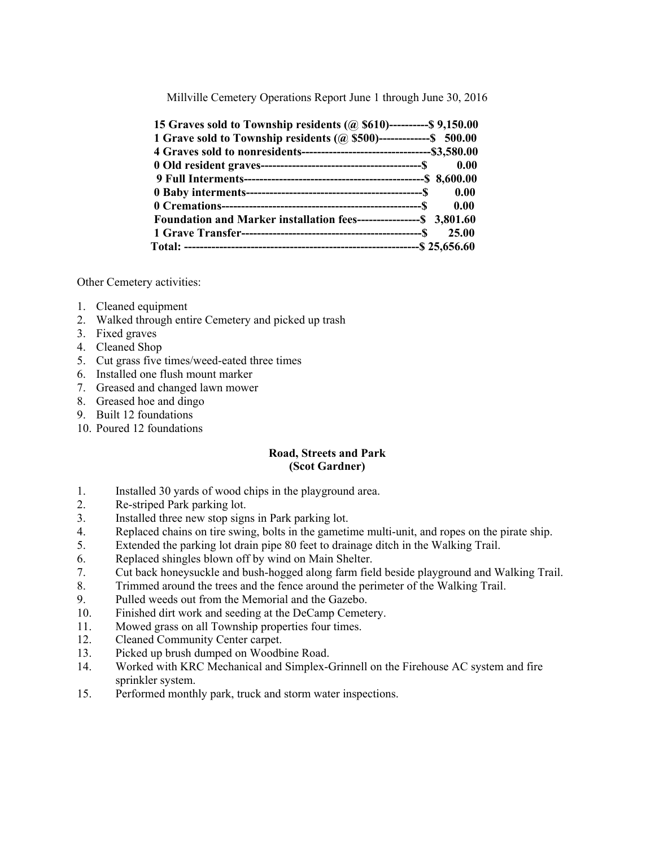Millville Cemetery Operations Report June 1 through June 30, 2016

| 15 Graves sold to Township residents (@ \$610)-----------\$ 9,150.00  |       |
|-----------------------------------------------------------------------|-------|
| 1 Grave sold to Township residents (@ \$500)--------------- \$ 500.00 |       |
|                                                                       |       |
|                                                                       |       |
|                                                                       |       |
|                                                                       |       |
|                                                                       |       |
| Foundation and Marker installation fees------------------\$ 3,801.60  |       |
|                                                                       | 25.00 |
|                                                                       |       |

Other Cemetery activities:

- 1. Cleaned equipment
- 2. Walked through entire Cemetery and picked up trash
- 3. Fixed graves
- 4. Cleaned Shop
- 5. Cut grass five times/weed-eated three times
- 6. Installed one flush mount marker
- 7. Greased and changed lawn mower
- 8. Greased hoe and dingo
- 9. Built 12 foundations
- 10. Poured 12 foundations

#### **Road, Streets and Park (Scot Gardner)**

- 1. Installed 30 yards of wood chips in the playground area.
- 2. Re-striped Park parking lot.
- 3. Installed three new stop signs in Park parking lot.
- 4. Replaced chains on tire swing, bolts in the gametime multi-unit, and ropes on the pirate ship.
- 5. Extended the parking lot drain pipe 80 feet to drainage ditch in the Walking Trail.
- 6. Replaced shingles blown off by wind on Main Shelter.
- 7. Cut back honeysuckle and bush-hogged along farm field beside playground and Walking Trail.
- 8. Trimmed around the trees and the fence around the perimeter of the Walking Trail.
- 9. Pulled weeds out from the Memorial and the Gazebo.
- 10. Finished dirt work and seeding at the DeCamp Cemetery.
- 11. Mowed grass on all Township properties four times.
- 12. Cleaned Community Center carpet.
- 13. Picked up brush dumped on Woodbine Road.
- 14. Worked with KRC Mechanical and Simplex-Grinnell on the Firehouse AC system and fire sprinkler system.
- 15. Performed monthly park, truck and storm water inspections.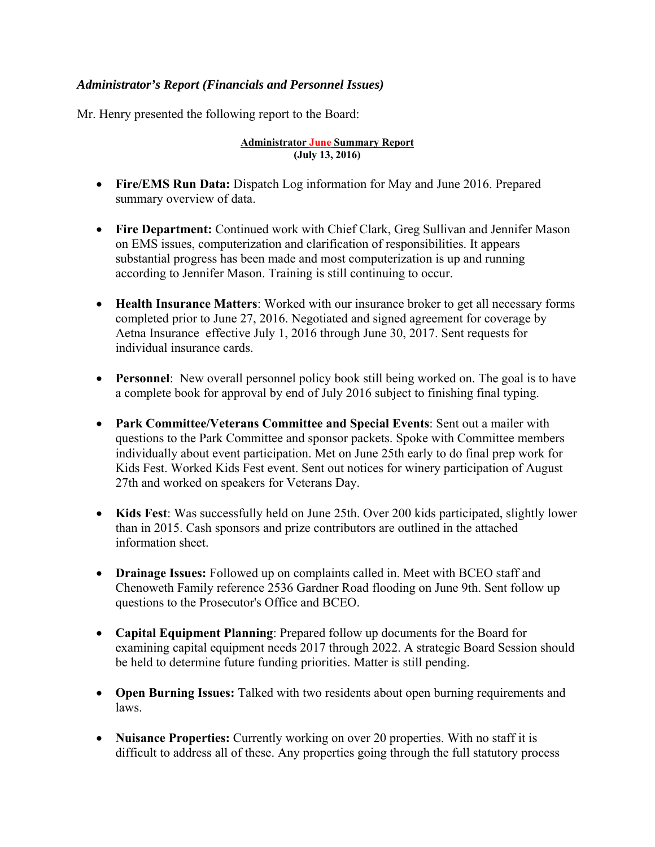# *Administrator's Report (Financials and Personnel Issues)*

Mr. Henry presented the following report to the Board:

#### **Administrator June Summary Report (July 13, 2016)**

- **Fire/EMS Run Data:** Dispatch Log information for May and June 2016. Prepared summary overview of data.
- **Fire Department:** Continued work with Chief Clark, Greg Sullivan and Jennifer Mason on EMS issues, computerization and clarification of responsibilities. It appears substantial progress has been made and most computerization is up and running according to Jennifer Mason. Training is still continuing to occur.
- **Health Insurance Matters**: Worked with our insurance broker to get all necessary forms completed prior to June 27, 2016. Negotiated and signed agreement for coverage by Aetna Insurance effective July 1, 2016 through June 30, 2017. Sent requests for individual insurance cards.
- **Personnel**: New overall personnel policy book still being worked on. The goal is to have a complete book for approval by end of July 2016 subject to finishing final typing.
- **Park Committee/Veterans Committee and Special Events**: Sent out a mailer with questions to the Park Committee and sponsor packets. Spoke with Committee members individually about event participation. Met on June 25th early to do final prep work for Kids Fest. Worked Kids Fest event. Sent out notices for winery participation of August 27th and worked on speakers for Veterans Day.
- **Kids Fest**: Was successfully held on June 25th. Over 200 kids participated, slightly lower than in 2015. Cash sponsors and prize contributors are outlined in the attached information sheet.
- **Drainage Issues:** Followed up on complaints called in. Meet with BCEO staff and Chenoweth Family reference 2536 Gardner Road flooding on June 9th. Sent follow up questions to the Prosecutor's Office and BCEO.
- **Capital Equipment Planning**: Prepared follow up documents for the Board for examining capital equipment needs 2017 through 2022. A strategic Board Session should be held to determine future funding priorities. Matter is still pending.
- **Open Burning Issues:** Talked with two residents about open burning requirements and laws.
- **Nuisance Properties:** Currently working on over 20 properties. With no staff it is difficult to address all of these. Any properties going through the full statutory process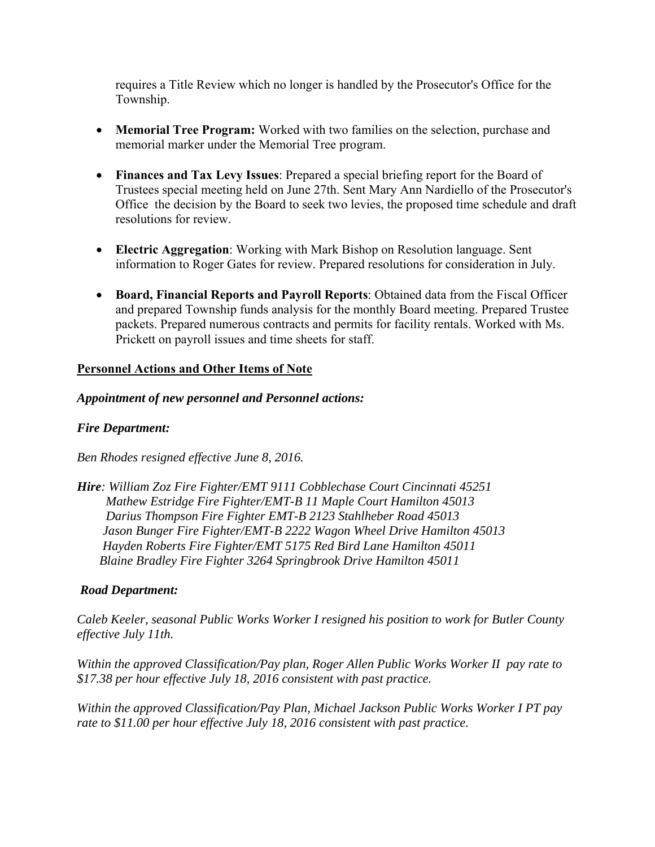requires a Title Review which no longer is handled by the Prosecutor's Office for the Township.

- **Memorial Tree Program:** Worked with two families on the selection, purchase and memorial marker under the Memorial Tree program.
- **Finances and Tax Levy Issues**: Prepared a special briefing report for the Board of Trustees special meeting held on June 27th. Sent Mary Ann Nardiello of the Prosecutor's Office the decision by the Board to seek two levies, the proposed time schedule and draft resolutions for review.
- **Electric Aggregation**: Working with Mark Bishop on Resolution language. Sent information to Roger Gates for review. Prepared resolutions for consideration in July.
- **Board, Financial Reports and Payroll Reports**: Obtained data from the Fiscal Officer and prepared Township funds analysis for the monthly Board meeting. Prepared Trustee packets. Prepared numerous contracts and permits for facility rentals. Worked with Ms. Prickett on payroll issues and time sheets for staff.

## **Personnel Actions and Other Items of Note**

#### *Appointment of new personnel and Personnel actions:*

#### *Fire Department:*

*Ben Rhodes resigned effective June 8, 2016.* 

*Hire: William Zoz Fire Fighter/EMT 9111 Cobblechase Court Cincinnati 45251 Mathew Estridge Fire Fighter/EMT-B 11 Maple Court Hamilton 45013 Darius Thompson Fire Fighter EMT-B 2123 Stahlheber Road 45013 Jason Bunger Fire Fighter/EMT-B 2222 Wagon Wheel Drive Hamilton 45013 Hayden Roberts Fire Fighter/EMT 5175 Red Bird Lane Hamilton 45011 Blaine Bradley Fire Fighter 3264 Springbrook Drive Hamilton 45011* 

#### *Road Department:*

*Caleb Keeler, seasonal Public Works Worker I resigned his position to work for Butler County effective July 11th.* 

*Within the approved Classification/Pay plan, Roger Allen Public Works Worker II pay rate to \$17.38 per hour effective July 18, 2016 consistent with past practice.* 

*Within the approved Classification/Pay Plan, Michael Jackson Public Works Worker I PT pay rate to \$11.00 per hour effective July 18, 2016 consistent with past practice.*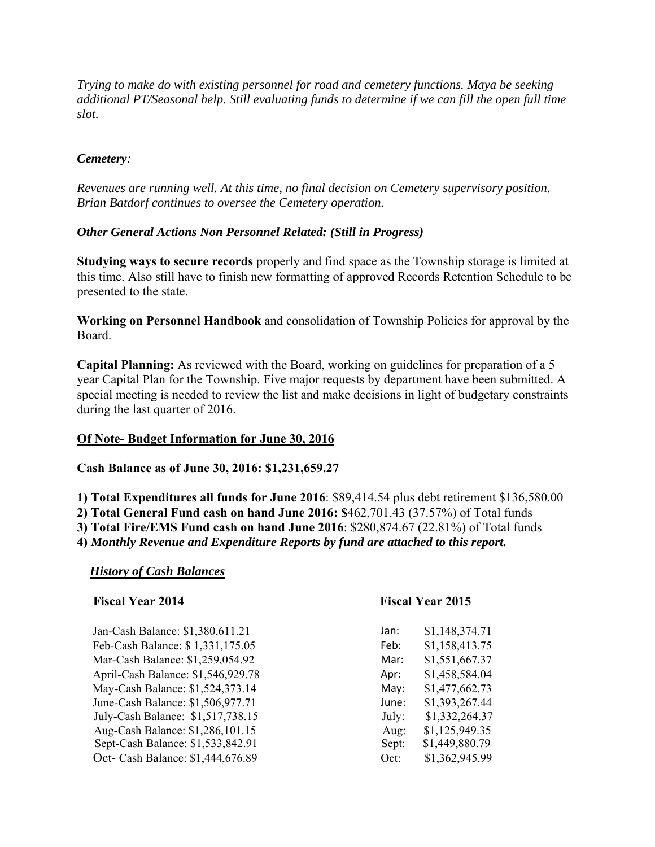*Trying to make do with existing personnel for road and cemetery functions. Maya be seeking additional PT/Seasonal help. Still evaluating funds to determine if we can fill the open full time slot.* 

# *Cemetery:*

*Revenues are running well. At this time, no final decision on Cemetery supervisory position. Brian Batdorf continues to oversee the Cemetery operation.* 

## *Other General Actions Non Personnel Related: (Still in Progress)*

**Studying ways to secure records** properly and find space as the Township storage is limited at this time. Also still have to finish new formatting of approved Records Retention Schedule to be presented to the state.

**Working on Personnel Handbook** and consolidation of Township Policies for approval by the Board.

**Capital Planning:** As reviewed with the Board, working on guidelines for preparation of a 5 year Capital Plan for the Township. Five major requests by department have been submitted. A special meeting is needed to review the list and make decisions in light of budgetary constraints during the last quarter of 2016.

#### **Of Note- Budget Information for June 30, 2016**

**Cash Balance as of June 30, 2016: \$1,231,659.27** 

**1) Total Expenditures all funds for June 2016**: \$89,414.54 plus debt retirement \$136,580.00 **2) Total General Fund cash on hand June 2016: \$**462,701.43 (37.57%) of Total funds **3) Total Fire/EMS Fund cash on hand June 2016**: \$280,874.67 (22.81%) of Total funds

**4)** *Monthly Revenue and Expenditure Reports by fund are attached to this report.* 

#### *History of Cash Balances*

| <b>Fiscal Year 2014</b>            |       | <b>Fiscal Year 2015</b> |  |
|------------------------------------|-------|-------------------------|--|
| Jan-Cash Balance: \$1,380,611.21   | Jan:  | \$1,148,374.71          |  |
| Feb-Cash Balance: \$1,331,175.05   | Feb:  | \$1,158,413.75          |  |
| Mar-Cash Balance: \$1,259,054.92   | Mar:  | \$1,551,667.37          |  |
| April-Cash Balance: \$1,546,929.78 | Apr:  | \$1,458,584.04          |  |
| May-Cash Balance: \$1,524,373.14   | May:  | \$1,477,662.73          |  |
| June-Cash Balance: \$1,506,977.71  | June: | \$1,393,267.44          |  |
| July-Cash Balance: \$1,517,738.15  | July: | \$1,332,264.37          |  |
| Aug-Cash Balance: \$1,286,101.15   | Aug:  | \$1,125,949.35          |  |
| Sept-Cash Balance: \$1,533,842.91  | Sept: | \$1,449,880.79          |  |
| Oct- Cash Balance: \$1,444,676.89  | Oct:  | \$1,362,945.99          |  |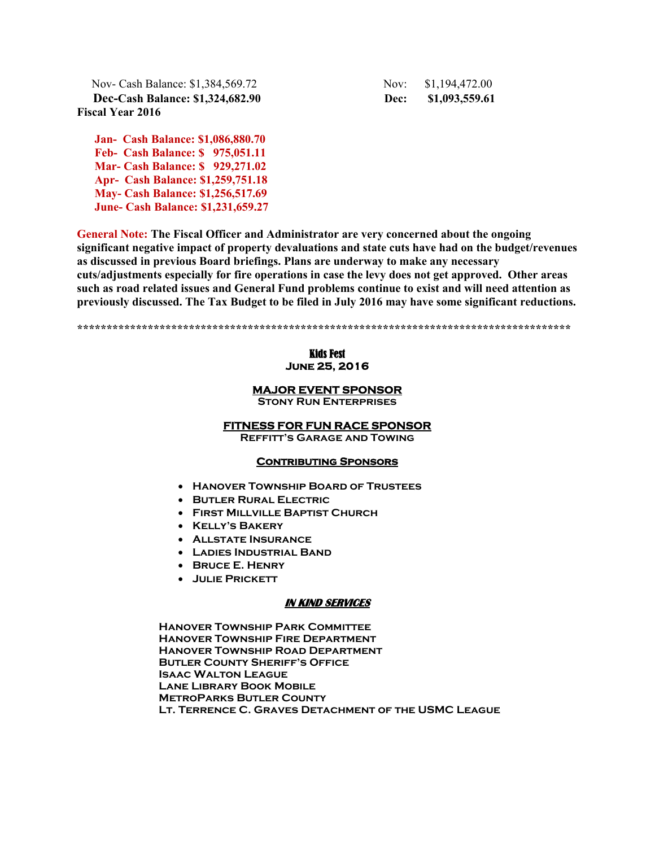Nov- Cash Balance: \$1,384,569.72 Nov: \$1,194,472.00  **Dec-Cash Balance: \$1,324,682.90 Dec: \$1,093,559.61 Fiscal Year 2016** 

 **Jan- Cash Balance: \$1,086,880.70 Feb- Cash Balance: \$ 975,051.11 Mar- Cash Balance: \$ 929,271.02 Apr- Cash Balance: \$1,259,751.18 May- Cash Balance: \$1,256,517.69 June- Cash Balance: \$1,231,659.27** 

**General Note: The Fiscal Officer and Administrator are very concerned about the ongoing significant negative impact of property devaluations and state cuts have had on the budget/revenues as discussed in previous Board briefings. Plans are underway to make any necessary cuts/adjustments especially for fire operations in case the levy does not get approved. Other areas such as road related issues and General Fund problems continue to exist and will need attention as previously discussed. The Tax Budget to be filed in July 2016 may have some significant reductions.** 

**\*\*\*\*\*\*\*\*\*\*\*\*\*\*\*\*\*\*\*\*\*\*\*\*\*\*\*\*\*\*\*\*\*\*\*\*\*\*\*\*\*\*\*\*\*\*\*\*\*\*\*\*\*\*\*\*\*\*\*\*\*\*\*\*\*\*\*\*\*\*\*\*\*\*\*\*\*\*\*\*\*\*\*\*** 

#### Kids Fest **June 25, 2016**

#### **MAJOR EVENT SPONSOR**

**Stony Run Enterprises** 

#### **FITNESS FOR FUN RACE SPONSOR**

**Reffitt's Garage and Towing** 

#### **Contributing Sponsors**

- **Hanover Township Board of Trustees**
- **Butler Rural Electric**
- **First Millville Baptist Church**
- **Kelly's Bakery**
- **Allstate Insurance**
- **Ladies Industrial Band**
- **Bruce E. Henry**
- **Julie Prickett**

#### **IN KIND SERVICES**

**Hanover Township Park Committee Hanover Township Fire Department Hanover Township Road Department Butler County Sheriff's Office Isaac Walton League Lane Library Book Mobile MetroParks Butler County Lt. Terrence C. Graves Detachment of the USMC League**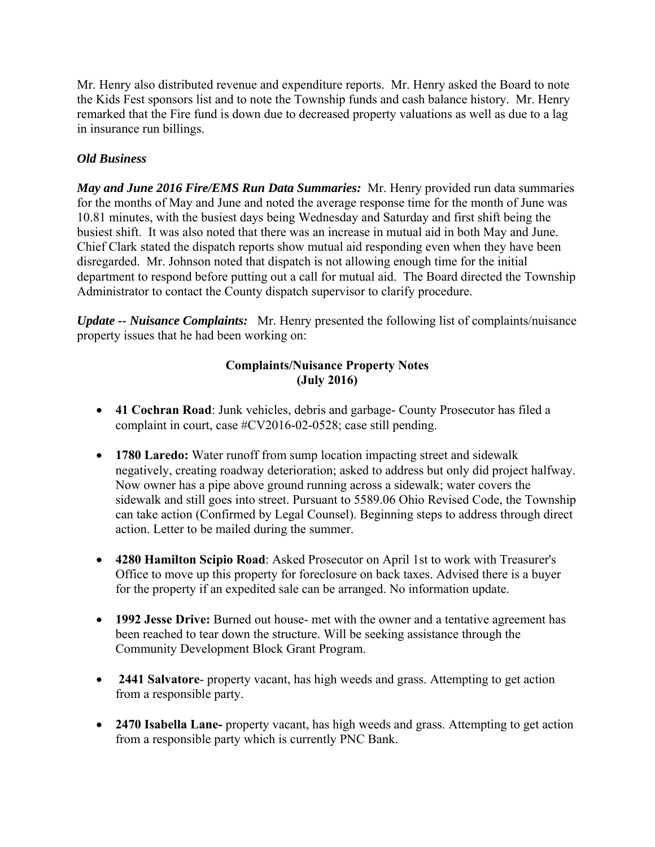Mr. Henry also distributed revenue and expenditure reports. Mr. Henry asked the Board to note the Kids Fest sponsors list and to note the Township funds and cash balance history. Mr. Henry remarked that the Fire fund is down due to decreased property valuations as well as due to a lag in insurance run billings.

# *Old Business*

*May and June 2016 Fire/EMS Run Data Summaries:* Mr. Henry provided run data summaries for the months of May and June and noted the average response time for the month of June was 10.81 minutes, with the busiest days being Wednesday and Saturday and first shift being the busiest shift. It was also noted that there was an increase in mutual aid in both May and June. Chief Clark stated the dispatch reports show mutual aid responding even when they have been disregarded. Mr. Johnson noted that dispatch is not allowing enough time for the initial department to respond before putting out a call for mutual aid. The Board directed the Township Administrator to contact the County dispatch supervisor to clarify procedure.

*Update -- Nuisance Complaints:* Mr. Henry presented the following list of complaints/nuisance property issues that he had been working on:

# **Complaints/Nuisance Property Notes (July 2016)**

- **41 Cochran Road**: Junk vehicles, debris and garbage- County Prosecutor has filed a complaint in court, case #CV2016-02-0528; case still pending.
- **1780 Laredo:** Water runoff from sump location impacting street and sidewalk negatively, creating roadway deterioration; asked to address but only did project halfway. Now owner has a pipe above ground running across a sidewalk; water covers the sidewalk and still goes into street. Pursuant to 5589.06 Ohio Revised Code, the Township can take action (Confirmed by Legal Counsel). Beginning steps to address through direct action. Letter to be mailed during the summer.
- **4280 Hamilton Scipio Road**: Asked Prosecutor on April 1st to work with Treasurer's Office to move up this property for foreclosure on back taxes. Advised there is a buyer for the property if an expedited sale can be arranged. No information update.
- **1992 Jesse Drive:** Burned out house- met with the owner and a tentative agreement has been reached to tear down the structure. Will be seeking assistance through the Community Development Block Grant Program.
- **2441 Salvatore** property vacant, has high weeds and grass. Attempting to get action from a responsible party.
- **2470 Isabella Lane-** property vacant, has high weeds and grass. Attempting to get action from a responsible party which is currently PNC Bank.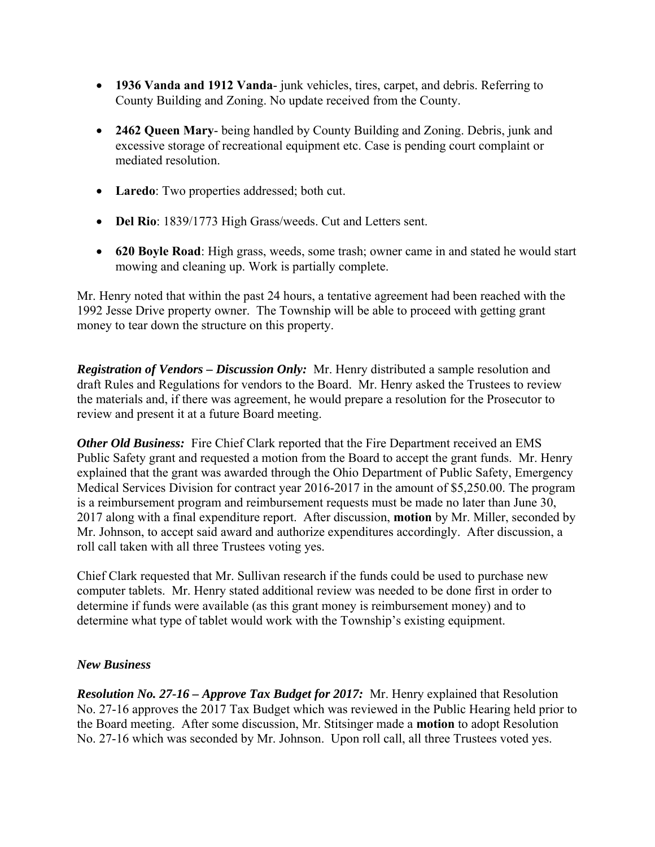- **1936 Vanda and 1912 Vanda** junk vehicles, tires, carpet, and debris. Referring to County Building and Zoning. No update received from the County.
- **2462 Queen Mary** being handled by County Building and Zoning. Debris, junk and excessive storage of recreational equipment etc. Case is pending court complaint or mediated resolution.
- **Laredo**: Two properties addressed; both cut.
- **Del Rio**: 1839/1773 High Grass/weeds. Cut and Letters sent.
- **620 Boyle Road**: High grass, weeds, some trash; owner came in and stated he would start mowing and cleaning up. Work is partially complete.

Mr. Henry noted that within the past 24 hours, a tentative agreement had been reached with the 1992 Jesse Drive property owner. The Township will be able to proceed with getting grant money to tear down the structure on this property.

*Registration of Vendors – Discussion Only:* Mr. Henry distributed a sample resolution and draft Rules and Regulations for vendors to the Board. Mr. Henry asked the Trustees to review the materials and, if there was agreement, he would prepare a resolution for the Prosecutor to review and present it at a future Board meeting.

*Other Old Business:* Fire Chief Clark reported that the Fire Department received an EMS Public Safety grant and requested a motion from the Board to accept the grant funds. Mr. Henry explained that the grant was awarded through the Ohio Department of Public Safety, Emergency Medical Services Division for contract year 2016-2017 in the amount of \$5,250.00. The program is a reimbursement program and reimbursement requests must be made no later than June 30, 2017 along with a final expenditure report. After discussion, **motion** by Mr. Miller, seconded by Mr. Johnson, to accept said award and authorize expenditures accordingly. After discussion, a roll call taken with all three Trustees voting yes.

Chief Clark requested that Mr. Sullivan research if the funds could be used to purchase new computer tablets. Mr. Henry stated additional review was needed to be done first in order to determine if funds were available (as this grant money is reimbursement money) and to determine what type of tablet would work with the Township's existing equipment.

# *New Business*

*Resolution No. 27-16 – Approve Tax Budget for 2017:* Mr. Henry explained that Resolution No. 27-16 approves the 2017 Tax Budget which was reviewed in the Public Hearing held prior to the Board meeting. After some discussion, Mr. Stitsinger made a **motion** to adopt Resolution No. 27-16 which was seconded by Mr. Johnson. Upon roll call, all three Trustees voted yes.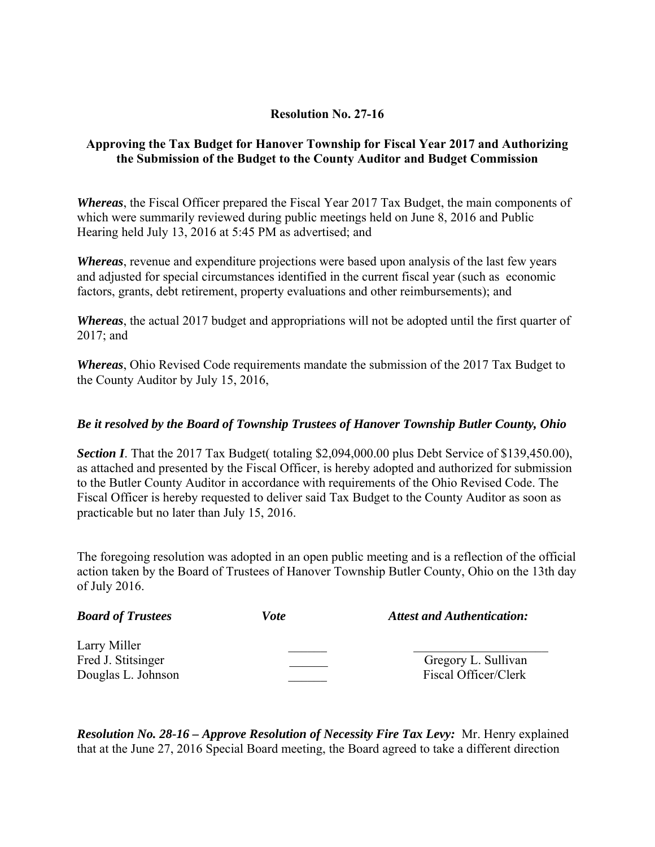# **Resolution No. 27-16**

# **Approving the Tax Budget for Hanover Township for Fiscal Year 2017 and Authorizing the Submission of the Budget to the County Auditor and Budget Commission**

*Whereas*, the Fiscal Officer prepared the Fiscal Year 2017 Tax Budget, the main components of which were summarily reviewed during public meetings held on June 8, 2016 and Public Hearing held July 13, 2016 at 5:45 PM as advertised; and

*Whereas*, revenue and expenditure projections were based upon analysis of the last few years and adjusted for special circumstances identified in the current fiscal year (such as economic factors, grants, debt retirement, property evaluations and other reimbursements); and

*Whereas*, the actual 2017 budget and appropriations will not be adopted until the first quarter of 2017; and

*Whereas*, Ohio Revised Code requirements mandate the submission of the 2017 Tax Budget to the County Auditor by July 15, 2016,

#### *Be it resolved by the Board of Township Trustees of Hanover Township Butler County, Ohio*

**Section I**. That the 2017 Tax Budget( totaling \$2,094,000.00 plus Debt Service of \$139,450.00), as attached and presented by the Fiscal Officer, is hereby adopted and authorized for submission to the Butler County Auditor in accordance with requirements of the Ohio Revised Code. The Fiscal Officer is hereby requested to deliver said Tax Budget to the County Auditor as soon as practicable but no later than July 15, 2016.

The foregoing resolution was adopted in an open public meeting and is a reflection of the official action taken by the Board of Trustees of Hanover Township Butler County, Ohio on the 13th day of July 2016.

| <b>Board of Trustees</b>                                 | <i>Vote</i> | <b>Attest and Authentication:</b>           |
|----------------------------------------------------------|-------------|---------------------------------------------|
| Larry Miller<br>Fred J. Stitsinger<br>Douglas L. Johnson |             | Gregory L. Sullivan<br>Fiscal Officer/Clerk |

*Resolution No. 28-16 – Approve Resolution of Necessity Fire Tax Levy:* Mr. Henry explained that at the June 27, 2016 Special Board meeting, the Board agreed to take a different direction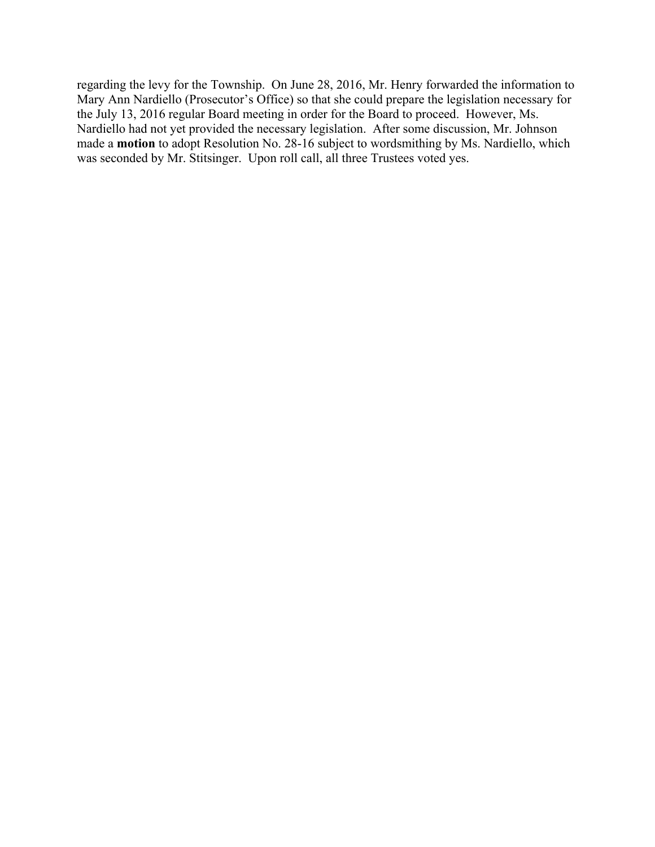regarding the levy for the Township. On June 28, 2016, Mr. Henry forwarded the information to Mary Ann Nardiello (Prosecutor's Office) so that she could prepare the legislation necessary for the July 13, 2016 regular Board meeting in order for the Board to proceed. However, Ms. Nardiello had not yet provided the necessary legislation. After some discussion, Mr. Johnson made a **motion** to adopt Resolution No. 28-16 subject to wordsmithing by Ms. Nardiello, which was seconded by Mr. Stitsinger. Upon roll call, all three Trustees voted yes.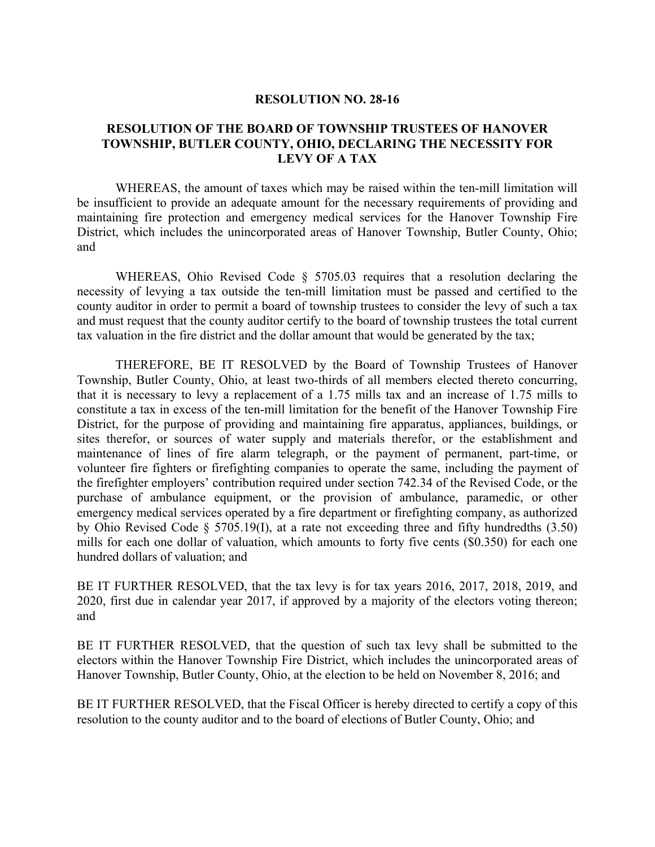#### **RESOLUTION NO. 28-16**

#### **RESOLUTION OF THE BOARD OF TOWNSHIP TRUSTEES OF HANOVER TOWNSHIP, BUTLER COUNTY, OHIO, DECLARING THE NECESSITY FOR LEVY OF A TAX**

 WHEREAS, the amount of taxes which may be raised within the ten-mill limitation will be insufficient to provide an adequate amount for the necessary requirements of providing and maintaining fire protection and emergency medical services for the Hanover Township Fire District, which includes the unincorporated areas of Hanover Township, Butler County, Ohio; and

WHEREAS, Ohio Revised Code § 5705.03 requires that a resolution declaring the necessity of levying a tax outside the ten-mill limitation must be passed and certified to the county auditor in order to permit a board of township trustees to consider the levy of such a tax and must request that the county auditor certify to the board of township trustees the total current tax valuation in the fire district and the dollar amount that would be generated by the tax;

 THEREFORE, BE IT RESOLVED by the Board of Township Trustees of Hanover Township, Butler County, Ohio, at least two-thirds of all members elected thereto concurring, that it is necessary to levy a replacement of a 1.75 mills tax and an increase of 1.75 mills to constitute a tax in excess of the ten-mill limitation for the benefit of the Hanover Township Fire District, for the purpose of providing and maintaining fire apparatus, appliances, buildings, or sites therefor, or sources of water supply and materials therefor, or the establishment and maintenance of lines of fire alarm telegraph, or the payment of permanent, part-time, or volunteer fire fighters or firefighting companies to operate the same, including the payment of the firefighter employers' contribution required under section 742.34 of the Revised Code, or the purchase of ambulance equipment, or the provision of ambulance, paramedic, or other emergency medical services operated by a fire department or firefighting company, as authorized by Ohio Revised Code § 5705.19(I), at a rate not exceeding three and fifty hundredths (3.50) mills for each one dollar of valuation, which amounts to forty five cents (\$0.350) for each one hundred dollars of valuation; and

BE IT FURTHER RESOLVED, that the tax levy is for tax years 2016, 2017, 2018, 2019, and 2020, first due in calendar year 2017, if approved by a majority of the electors voting thereon; and

BE IT FURTHER RESOLVED, that the question of such tax levy shall be submitted to the electors within the Hanover Township Fire District, which includes the unincorporated areas of Hanover Township, Butler County, Ohio, at the election to be held on November 8, 2016; and

BE IT FURTHER RESOLVED, that the Fiscal Officer is hereby directed to certify a copy of this resolution to the county auditor and to the board of elections of Butler County, Ohio; and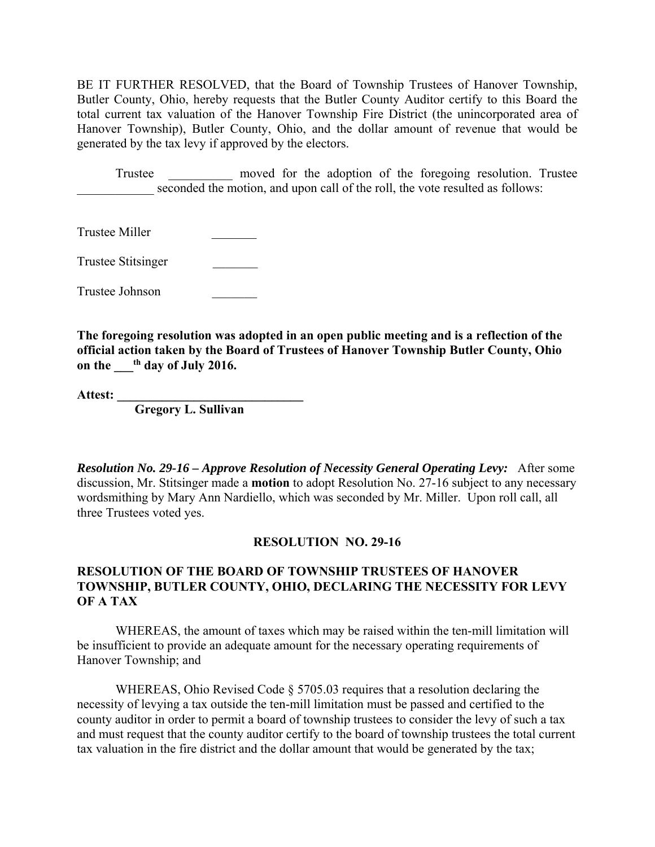BE IT FURTHER RESOLVED, that the Board of Township Trustees of Hanover Township, Butler County, Ohio, hereby requests that the Butler County Auditor certify to this Board the total current tax valuation of the Hanover Township Fire District (the unincorporated area of Hanover Township), Butler County, Ohio, and the dollar amount of revenue that would be generated by the tax levy if approved by the electors.

 Trustee \_\_\_\_\_\_\_\_\_\_ moved for the adoption of the foregoing resolution. Trustee seconded the motion, and upon call of the roll, the vote resulted as follows:

Trustee Miller \_\_\_\_\_\_\_

Trustee Stitsinger \_\_\_\_\_\_\_

Trustee Johnson \_\_\_\_\_\_\_

**The foregoing resolution was adopted in an open public meeting and is a reflection of the official action taken by the Board of Trustees of Hanover Township Butler County, Ohio on the \_\_\_th day of July 2016.** 

Attest:

 **Gregory L. Sullivan** 

*Resolution No. 29-16 – Approve Resolution of Necessity General Operating Levy:* After some discussion, Mr. Stitsinger made a **motion** to adopt Resolution No. 27-16 subject to any necessary wordsmithing by Mary Ann Nardiello, which was seconded by Mr. Miller. Upon roll call, all three Trustees voted yes.

#### **RESOLUTION NO. 29-16**

## **RESOLUTION OF THE BOARD OF TOWNSHIP TRUSTEES OF HANOVER TOWNSHIP, BUTLER COUNTY, OHIO, DECLARING THE NECESSITY FOR LEVY OF A TAX**

 WHEREAS, the amount of taxes which may be raised within the ten-mill limitation will be insufficient to provide an adequate amount for the necessary operating requirements of Hanover Township; and

 WHEREAS, Ohio Revised Code § 5705.03 requires that a resolution declaring the necessity of levying a tax outside the ten-mill limitation must be passed and certified to the county auditor in order to permit a board of township trustees to consider the levy of such a tax and must request that the county auditor certify to the board of township trustees the total current tax valuation in the fire district and the dollar amount that would be generated by the tax;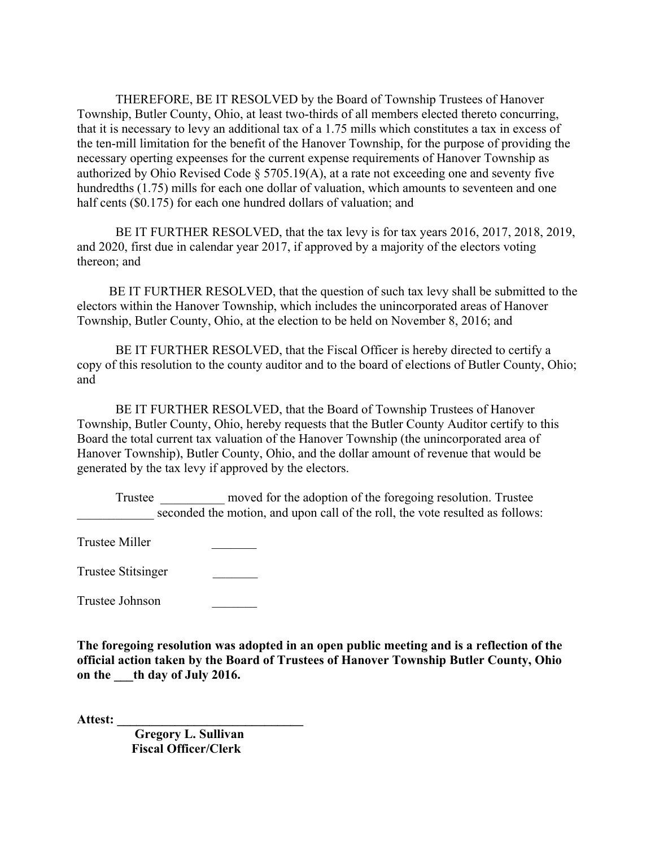THEREFORE, BE IT RESOLVED by the Board of Township Trustees of Hanover Township, Butler County, Ohio, at least two-thirds of all members elected thereto concurring, that it is necessary to levy an additional tax of a 1.75 mills which constitutes a tax in excess of the ten-mill limitation for the benefit of the Hanover Township, for the purpose of providing the necessary operting expeenses for the current expense requirements of Hanover Township as authorized by Ohio Revised Code § 5705.19(A), at a rate not exceeding one and seventy five hundredths (1.75) mills for each one dollar of valuation, which amounts to seventeen and one half cents (\$0.175) for each one hundred dollars of valuation; and

 BE IT FURTHER RESOLVED, that the tax levy is for tax years 2016, 2017, 2018, 2019, and 2020, first due in calendar year 2017, if approved by a majority of the electors voting thereon; and

 BE IT FURTHER RESOLVED, that the question of such tax levy shall be submitted to the electors within the Hanover Township, which includes the unincorporated areas of Hanover Township, Butler County, Ohio, at the election to be held on November 8, 2016; and

 BE IT FURTHER RESOLVED, that the Fiscal Officer is hereby directed to certify a copy of this resolution to the county auditor and to the board of elections of Butler County, Ohio; and

 BE IT FURTHER RESOLVED, that the Board of Township Trustees of Hanover Township, Butler County, Ohio, hereby requests that the Butler County Auditor certify to this Board the total current tax valuation of the Hanover Township (the unincorporated area of Hanover Township), Butler County, Ohio, and the dollar amount of revenue that would be generated by the tax levy if approved by the electors.

Trustee Trustee moved for the adoption of the foregoing resolution. Trustee seconded the motion, and upon call of the roll, the vote resulted as follows:

Trustee Miller \_\_\_\_\_\_\_

Trustee Stitsinger \_\_\_\_\_\_\_

Trustee Johnson \_\_\_\_\_\_\_

**The foregoing resolution was adopted in an open public meeting and is a reflection of the official action taken by the Board of Trustees of Hanover Township Butler County, Ohio on the \_\_\_th day of July 2016.** 

**Attest: \_\_\_\_\_\_\_\_\_\_\_\_\_\_\_\_\_\_\_\_\_\_\_\_\_\_\_\_\_** 

 **Gregory L. Sullivan Fiscal Officer/Clerk**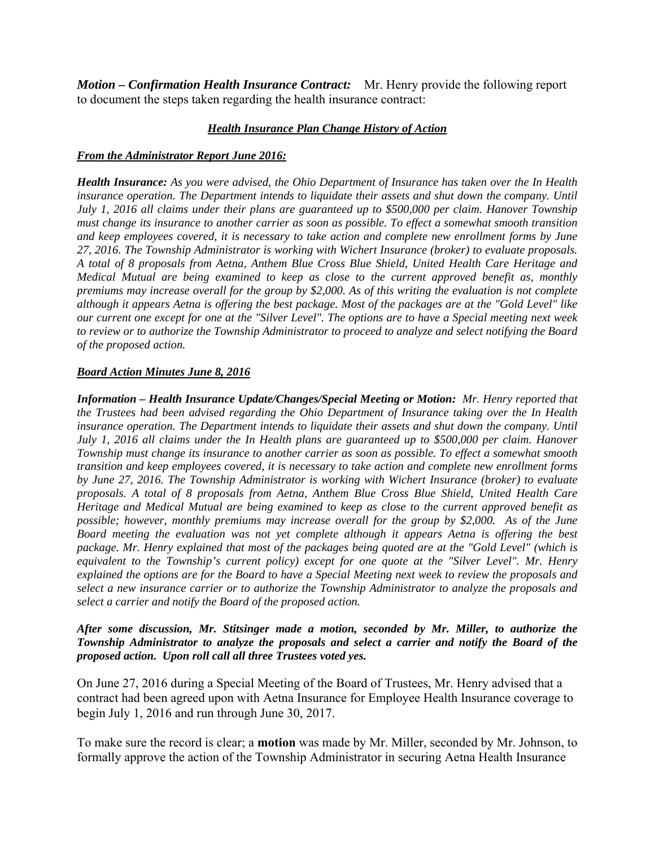*Motion – Confirmation Health Insurance Contract:* Mr. Henry provide the following report to document the steps taken regarding the health insurance contract:

#### *Health Insurance Plan Change History of Action*

#### *From the Administrator Report June 2016:*

*Health Insurance: As you were advised, the Ohio Department of Insurance has taken over the In Health insurance operation. The Department intends to liquidate their assets and shut down the company. Until July 1, 2016 all claims under their plans are guaranteed up to \$500,000 per claim. Hanover Township must change its insurance to another carrier as soon as possible. To effect a somewhat smooth transition and keep employees covered, it is necessary to take action and complete new enrollment forms by June 27, 2016. The Township Administrator is working with Wichert Insurance (broker) to evaluate proposals. A total of 8 proposals from Aetna, Anthem Blue Cross Blue Shield, United Health Care Heritage and Medical Mutual are being examined to keep as close to the current approved benefit as, monthly premiums may increase overall for the group by \$2,000. As of this writing the evaluation is not complete although it appears Aetna is offering the best package. Most of the packages are at the "Gold Level" like our current one except for one at the "Silver Level". The options are to have a Special meeting next week to review or to authorize the Township Administrator to proceed to analyze and select notifying the Board of the proposed action.* 

#### *Board Action Minutes June 8, 2016*

*Information – Health Insurance Update/Changes/Special Meeting or Motion: Mr. Henry reported that the Trustees had been advised regarding the Ohio Department of Insurance taking over the In Health insurance operation. The Department intends to liquidate their assets and shut down the company. Until July 1, 2016 all claims under the In Health plans are guaranteed up to \$500,000 per claim. Hanover Township must change its insurance to another carrier as soon as possible. To effect a somewhat smooth transition and keep employees covered, it is necessary to take action and complete new enrollment forms by June 27, 2016. The Township Administrator is working with Wichert Insurance (broker) to evaluate proposals. A total of 8 proposals from Aetna, Anthem Blue Cross Blue Shield, United Health Care Heritage and Medical Mutual are being examined to keep as close to the current approved benefit as possible; however, monthly premiums may increase overall for the group by \$2,000. As of the June Board meeting the evaluation was not yet complete although it appears Aetna is offering the best package. Mr. Henry explained that most of the packages being quoted are at the "Gold Level" (which is equivalent to the Township's current policy) except for one quote at the "Silver Level". Mr. Henry explained the options are for the Board to have a Special Meeting next week to review the proposals and select a new insurance carrier or to authorize the Township Administrator to analyze the proposals and select a carrier and notify the Board of the proposed action.* 

#### *After some discussion, Mr. Stitsinger made a motion, seconded by Mr. Miller, to authorize the Township Administrator to analyze the proposals and select a carrier and notify the Board of the proposed action. Upon roll call all three Trustees voted yes.*

On June 27, 2016 during a Special Meeting of the Board of Trustees, Mr. Henry advised that a contract had been agreed upon with Aetna Insurance for Employee Health Insurance coverage to begin July 1, 2016 and run through June 30, 2017.

To make sure the record is clear; a **motion** was made by Mr. Miller, seconded by Mr. Johnson, to formally approve the action of the Township Administrator in securing Aetna Health Insurance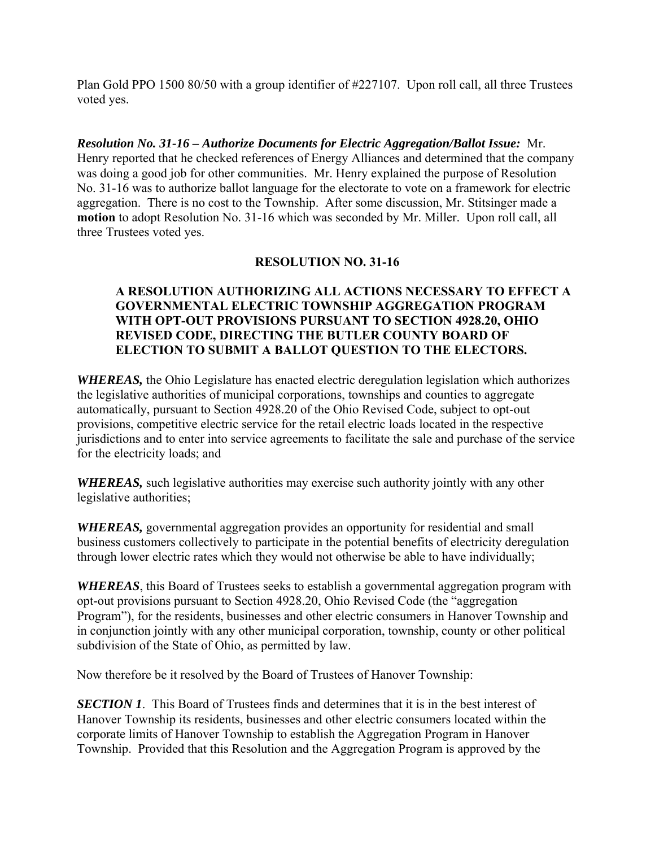Plan Gold PPO 1500 80/50 with a group identifier of #227107. Upon roll call, all three Trustees voted yes.

*Resolution No. 31-16 – Authorize Documents for Electric Aggregation/Ballot Issue:* Mr. Henry reported that he checked references of Energy Alliances and determined that the company was doing a good job for other communities. Mr. Henry explained the purpose of Resolution No. 31-16 was to authorize ballot language for the electorate to vote on a framework for electric aggregation. There is no cost to the Township. After some discussion, Mr. Stitsinger made a **motion** to adopt Resolution No. 31-16 which was seconded by Mr. Miller. Upon roll call, all three Trustees voted yes.

# **RESOLUTION NO. 31-16**

# **A RESOLUTION AUTHORIZING ALL ACTIONS NECESSARY TO EFFECT A GOVERNMENTAL ELECTRIC TOWNSHIP AGGREGATION PROGRAM WITH OPT-OUT PROVISIONS PURSUANT TO SECTION 4928.20, OHIO REVISED CODE, DIRECTING THE BUTLER COUNTY BOARD OF ELECTION TO SUBMIT A BALLOT QUESTION TO THE ELECTORS.**

*WHEREAS,* the Ohio Legislature has enacted electric deregulation legislation which authorizes the legislative authorities of municipal corporations, townships and counties to aggregate automatically, pursuant to Section 4928.20 of the Ohio Revised Code, subject to opt-out provisions, competitive electric service for the retail electric loads located in the respective jurisdictions and to enter into service agreements to facilitate the sale and purchase of the service for the electricity loads; and

*WHEREAS,* such legislative authorities may exercise such authority jointly with any other legislative authorities;

*WHEREAS,* governmental aggregation provides an opportunity for residential and small business customers collectively to participate in the potential benefits of electricity deregulation through lower electric rates which they would not otherwise be able to have individually;

*WHEREAS*, this Board of Trustees seeks to establish a governmental aggregation program with opt-out provisions pursuant to Section 4928.20, Ohio Revised Code (the "aggregation Program"), for the residents, businesses and other electric consumers in Hanover Township and in conjunction jointly with any other municipal corporation, township, county or other political subdivision of the State of Ohio, as permitted by law.

Now therefore be it resolved by the Board of Trustees of Hanover Township:

**SECTION 1.** This Board of Trustees finds and determines that it is in the best interest of Hanover Township its residents, businesses and other electric consumers located within the corporate limits of Hanover Township to establish the Aggregation Program in Hanover Township. Provided that this Resolution and the Aggregation Program is approved by the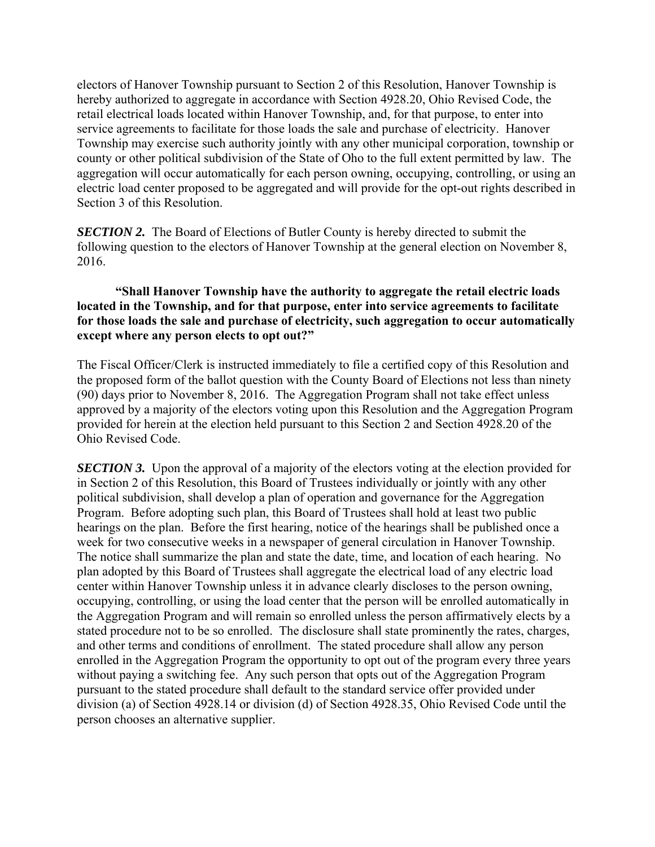electors of Hanover Township pursuant to Section 2 of this Resolution, Hanover Township is hereby authorized to aggregate in accordance with Section 4928.20, Ohio Revised Code, the retail electrical loads located within Hanover Township, and, for that purpose, to enter into service agreements to facilitate for those loads the sale and purchase of electricity. Hanover Township may exercise such authority jointly with any other municipal corporation, township or county or other political subdivision of the State of Oho to the full extent permitted by law. The aggregation will occur automatically for each person owning, occupying, controlling, or using an electric load center proposed to be aggregated and will provide for the opt-out rights described in Section 3 of this Resolution.

*SECTION 2.* The Board of Elections of Butler County is hereby directed to submit the following question to the electors of Hanover Township at the general election on November 8, 2016.

# **"Shall Hanover Township have the authority to aggregate the retail electric loads located in the Township, and for that purpose, enter into service agreements to facilitate for those loads the sale and purchase of electricity, such aggregation to occur automatically except where any person elects to opt out?"**

The Fiscal Officer/Clerk is instructed immediately to file a certified copy of this Resolution and the proposed form of the ballot question with the County Board of Elections not less than ninety (90) days prior to November 8, 2016. The Aggregation Program shall not take effect unless approved by a majority of the electors voting upon this Resolution and the Aggregation Program provided for herein at the election held pursuant to this Section 2 and Section 4928.20 of the Ohio Revised Code.

**SECTION 3.** Upon the approval of a majority of the electors voting at the election provided for in Section 2 of this Resolution, this Board of Trustees individually or jointly with any other political subdivision, shall develop a plan of operation and governance for the Aggregation Program. Before adopting such plan, this Board of Trustees shall hold at least two public hearings on the plan. Before the first hearing, notice of the hearings shall be published once a week for two consecutive weeks in a newspaper of general circulation in Hanover Township. The notice shall summarize the plan and state the date, time, and location of each hearing. No plan adopted by this Board of Trustees shall aggregate the electrical load of any electric load center within Hanover Township unless it in advance clearly discloses to the person owning, occupying, controlling, or using the load center that the person will be enrolled automatically in the Aggregation Program and will remain so enrolled unless the person affirmatively elects by a stated procedure not to be so enrolled. The disclosure shall state prominently the rates, charges, and other terms and conditions of enrollment. The stated procedure shall allow any person enrolled in the Aggregation Program the opportunity to opt out of the program every three years without paying a switching fee. Any such person that opts out of the Aggregation Program pursuant to the stated procedure shall default to the standard service offer provided under division (a) of Section 4928.14 or division (d) of Section 4928.35, Ohio Revised Code until the person chooses an alternative supplier.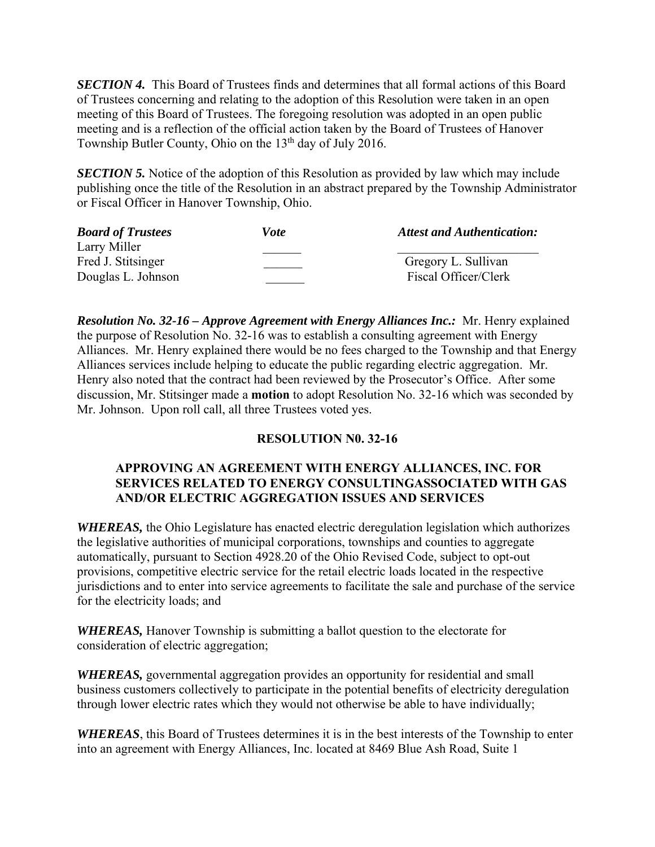*SECTION 4.* This Board of Trustees finds and determines that all formal actions of this Board of Trustees concerning and relating to the adoption of this Resolution were taken in an open meeting of this Board of Trustees. The foregoing resolution was adopted in an open public meeting and is a reflection of the official action taken by the Board of Trustees of Hanover Township Butler County, Ohio on the 13<sup>th</sup> day of July 2016.

**SECTION 5.** Notice of the adoption of this Resolution as provided by law which may include publishing once the title of the Resolution in an abstract prepared by the Township Administrator or Fiscal Officer in Hanover Township, Ohio.

| <b>Board of Trustees</b> | Vote | <b>Attest and Authentication:</b> |
|--------------------------|------|-----------------------------------|
| Larry Miller             |      |                                   |
| Fred J. Stitsinger       |      | Gregory L. Sullivan               |
| Douglas L. Johnson       |      | Fiscal Officer/Clerk              |

*Resolution No. 32-16 – Approve Agreement with Energy Alliances Inc.:* Mr. Henry explained the purpose of Resolution No. 32-16 was to establish a consulting agreement with Energy Alliances. Mr. Henry explained there would be no fees charged to the Township and that Energy Alliances services include helping to educate the public regarding electric aggregation. Mr. Henry also noted that the contract had been reviewed by the Prosecutor's Office. After some discussion, Mr. Stitsinger made a **motion** to adopt Resolution No. 32-16 which was seconded by Mr. Johnson. Upon roll call, all three Trustees voted yes.

# **RESOLUTION N0. 32-16**

# **APPROVING AN AGREEMENT WITH ENERGY ALLIANCES, INC. FOR SERVICES RELATED TO ENERGY CONSULTINGASSOCIATED WITH GAS AND/OR ELECTRIC AGGREGATION ISSUES AND SERVICES**

*WHEREAS,* the Ohio Legislature has enacted electric deregulation legislation which authorizes the legislative authorities of municipal corporations, townships and counties to aggregate automatically, pursuant to Section 4928.20 of the Ohio Revised Code, subject to opt-out provisions, competitive electric service for the retail electric loads located in the respective jurisdictions and to enter into service agreements to facilitate the sale and purchase of the service for the electricity loads; and

*WHEREAS,* Hanover Township is submitting a ballot question to the electorate for consideration of electric aggregation;

*WHEREAS,* governmental aggregation provides an opportunity for residential and small business customers collectively to participate in the potential benefits of electricity deregulation through lower electric rates which they would not otherwise be able to have individually;

*WHEREAS*, this Board of Trustees determines it is in the best interests of the Township to enter into an agreement with Energy Alliances, Inc. located at 8469 Blue Ash Road, Suite 1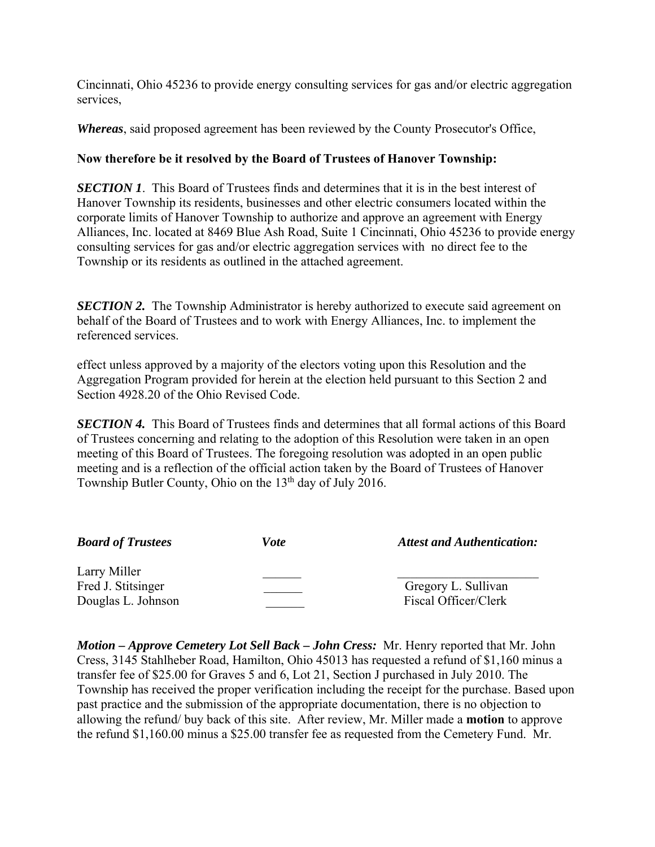Cincinnati, Ohio 45236 to provide energy consulting services for gas and/or electric aggregation services,

*Whereas*, said proposed agreement has been reviewed by the County Prosecutor's Office,

# **Now therefore be it resolved by the Board of Trustees of Hanover Township:**

**SECTION 1.** This Board of Trustees finds and determines that it is in the best interest of Hanover Township its residents, businesses and other electric consumers located within the corporate limits of Hanover Township to authorize and approve an agreement with Energy Alliances, Inc. located at 8469 Blue Ash Road, Suite 1 Cincinnati, Ohio 45236 to provide energy consulting services for gas and/or electric aggregation services with no direct fee to the Township or its residents as outlined in the attached agreement.

*SECTION 2.* The Township Administrator is hereby authorized to execute said agreement on behalf of the Board of Trustees and to work with Energy Alliances, Inc. to implement the referenced services.

effect unless approved by a majority of the electors voting upon this Resolution and the Aggregation Program provided for herein at the election held pursuant to this Section 2 and Section 4928.20 of the Ohio Revised Code.

*SECTION 4.* This Board of Trustees finds and determines that all formal actions of this Board of Trustees concerning and relating to the adoption of this Resolution were taken in an open meeting of this Board of Trustees. The foregoing resolution was adopted in an open public meeting and is a reflection of the official action taken by the Board of Trustees of Hanover Township Butler County, Ohio on the 13<sup>th</sup> day of July 2016.

| <b>Board of Trustees</b> | <i>Vote</i> | <b>Attest and Authentication:</b> |
|--------------------------|-------------|-----------------------------------|
| Larry Miller             |             |                                   |
| Fred J. Stitsinger       |             | Gregory L. Sullivan               |
| Douglas L. Johnson       |             | Fiscal Officer/Clerk              |

*Motion – Approve Cemetery Lot Sell Back – John Cress:* Mr. Henry reported that Mr. John Cress, 3145 Stahlheber Road, Hamilton, Ohio 45013 has requested a refund of \$1,160 minus a transfer fee of \$25.00 for Graves 5 and 6, Lot 21, Section J purchased in July 2010. The Township has received the proper verification including the receipt for the purchase. Based upon past practice and the submission of the appropriate documentation, there is no objection to allowing the refund/ buy back of this site. After review, Mr. Miller made a **motion** to approve the refund \$1,160.00 minus a \$25.00 transfer fee as requested from the Cemetery Fund. Mr.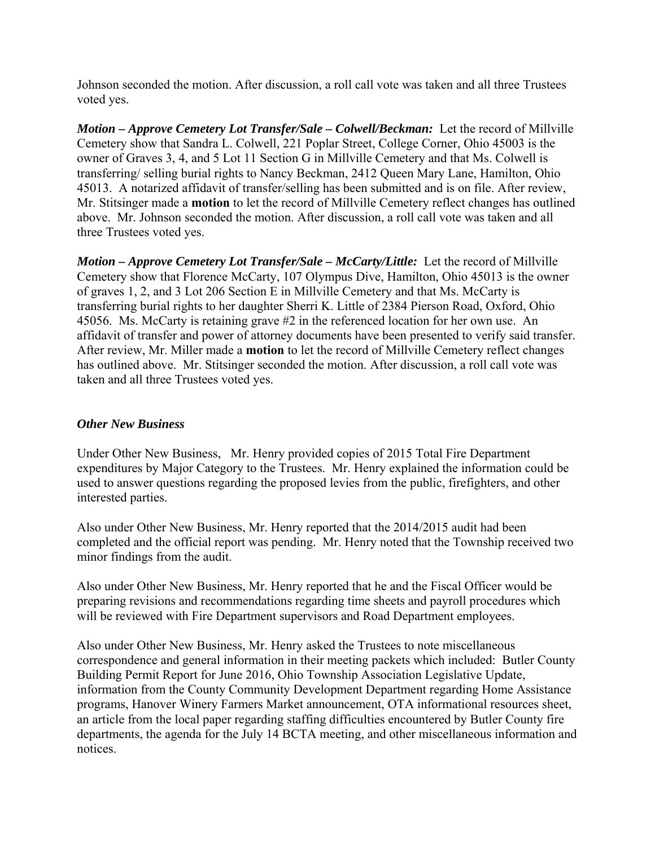Johnson seconded the motion. After discussion, a roll call vote was taken and all three Trustees voted yes.

*Motion – Approve Cemetery Lot Transfer/Sale – Colwell/Beckman:* Let the record of Millville Cemetery show that Sandra L. Colwell, 221 Poplar Street, College Corner, Ohio 45003 is the owner of Graves 3, 4, and 5 Lot 11 Section G in Millville Cemetery and that Ms. Colwell is transferring/ selling burial rights to Nancy Beckman, 2412 Queen Mary Lane, Hamilton, Ohio 45013. A notarized affidavit of transfer/selling has been submitted and is on file. After review, Mr. Stitsinger made a **motion** to let the record of Millville Cemetery reflect changes has outlined above. Mr. Johnson seconded the motion. After discussion, a roll call vote was taken and all three Trustees voted yes.

*Motion – Approve Cemetery Lot Transfer/Sale – McCarty/Little:* Let the record of Millville Cemetery show that Florence McCarty, 107 Olympus Dive, Hamilton, Ohio 45013 is the owner of graves 1, 2, and 3 Lot 206 Section E in Millville Cemetery and that Ms. McCarty is transferring burial rights to her daughter Sherri K. Little of 2384 Pierson Road, Oxford, Ohio 45056. Ms. McCarty is retaining grave #2 in the referenced location for her own use. An affidavit of transfer and power of attorney documents have been presented to verify said transfer. After review, Mr. Miller made a **motion** to let the record of Millville Cemetery reflect changes has outlined above. Mr. Stitsinger seconded the motion. After discussion, a roll call vote was taken and all three Trustees voted yes.

# *Other New Business*

Under Other New Business, Mr. Henry provided copies of 2015 Total Fire Department expenditures by Major Category to the Trustees. Mr. Henry explained the information could be used to answer questions regarding the proposed levies from the public, firefighters, and other interested parties.

Also under Other New Business, Mr. Henry reported that the 2014/2015 audit had been completed and the official report was pending. Mr. Henry noted that the Township received two minor findings from the audit.

Also under Other New Business, Mr. Henry reported that he and the Fiscal Officer would be preparing revisions and recommendations regarding time sheets and payroll procedures which will be reviewed with Fire Department supervisors and Road Department employees.

Also under Other New Business, Mr. Henry asked the Trustees to note miscellaneous correspondence and general information in their meeting packets which included: Butler County Building Permit Report for June 2016, Ohio Township Association Legislative Update, information from the County Community Development Department regarding Home Assistance programs, Hanover Winery Farmers Market announcement, OTA informational resources sheet, an article from the local paper regarding staffing difficulties encountered by Butler County fire departments, the agenda for the July 14 BCTA meeting, and other miscellaneous information and notices.